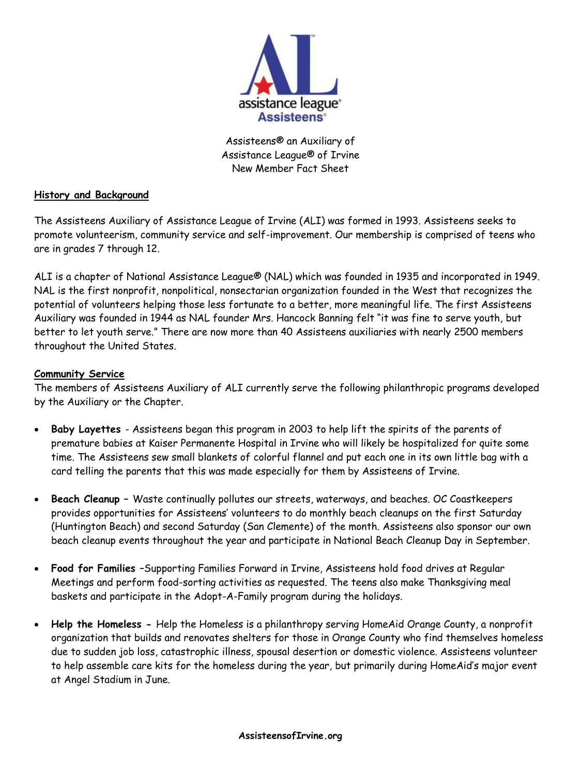

Assisteens® an Auxiliary of Assistance League® of Irvine New Member Fact Sheet

## **History and Background**

The Assisteens Auxiliary of Assistance League of Irvine (ALI) was formed in 1993. Assisteens seeks to promote volunteerism, community service and self-improvement. Our membership is comprised of teens who are in grades 7 through 12.

ALI is a chapter of National Assistance League® (NAL) which was founded in 1935 and incorporated in 1949. NAL is the first nonprofit, nonpolitical, nonsectarian organization founded in the West that recognizes the potential of volunteers helping those less fortunate to a better, more meaningful life. The first Assisteens Auxiliary was founded in 1944 as NAL founder Mrs. Hancock Banning felt "it was fine to serve youth, but better to let youth serve." There are now more than 40 Assisteens auxiliaries with nearly 2500 members throughout the United States.

## **Community Service**

The members of Assisteens Auxiliary of ALI currently serve the following philanthropic programs developed by the Auxiliary or the Chapter.

- **Baby Layettes**  Assisteens began this program in 2003 to help lift the spirits of the parents of premature babies at Kaiser Permanente Hospital in Irvine who will likely be hospitalized for quite some time. The Assisteens sew small blankets of colorful flannel and put each one in its own little bag with a card telling the parents that this was made especially for them by Assisteens of Irvine.
- **Beach Cleanup –** Waste continually pollutes our streets, waterways, and beaches. OC Coastkeepers provides opportunities for Assisteens' volunteers to do monthly beach cleanups on the first Saturday (Huntington Beach) and second Saturday (San Clemente) of the month. Assisteens also sponsor our own beach cleanup events throughout the year and participate in National Beach Cleanup Day in September.
- **Food for Families** –Supporting Families Forward in Irvine, Assisteens hold food drives at Regular Meetings and perform food-sorting activities as requested. The teens also make Thanksgiving meal baskets and participate in the Adopt-A-Family program during the holidays.
- **Help the Homeless -** Help the Homeless is a philanthropy serving HomeAid Orange County, a nonprofit organization that builds and renovates shelters for those in Orange County who find themselves homeless due to sudden job loss, catastrophic illness, spousal desertion or domestic violence. Assisteens volunteer to help assemble care kits for the homeless during the year, but primarily during HomeAid's major event at Angel Stadium in June.